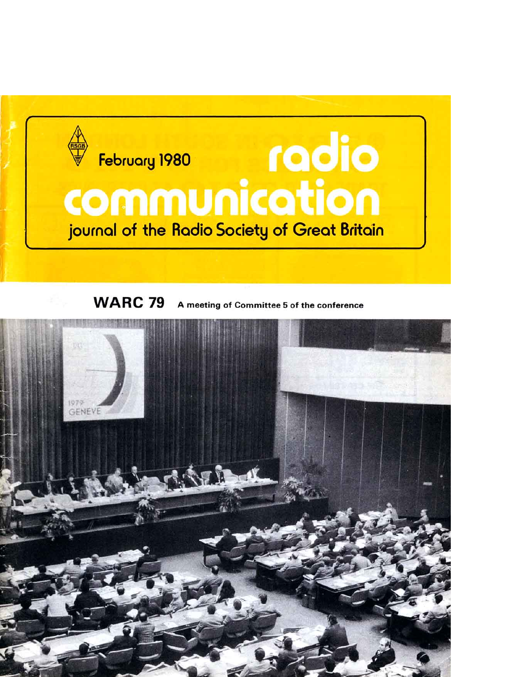

**WARC 79** A meeting of Committee 5 of the conference